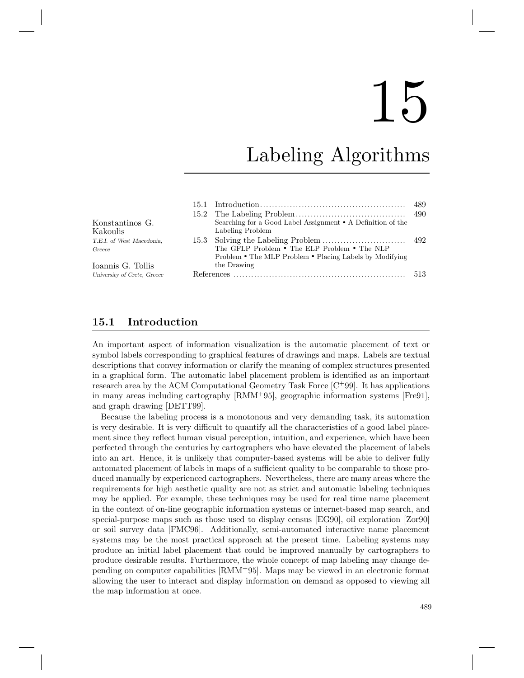# 15

## Labeling Algorithms

|                             |                                                             | 489 |
|-----------------------------|-------------------------------------------------------------|-----|
|                             |                                                             |     |
| Konstantinos G.             | Searching for a Good Label Assignment • A Definition of the |     |
| Kakoulis                    | Labeling Problem                                            |     |
| T.E.I. of West Macedonia,   |                                                             |     |
| Greece                      | The GFLP Problem • The ELP Problem • The NLP                |     |
|                             | Problem • The MLP Problem • Placing Labels by Modifying     |     |
| Ioannis G. Tollis           | the Drawing                                                 |     |
| University of Crete, Greece |                                                             | 513 |
|                             |                                                             |     |

#### 15.1 Introduction

An important aspect of information visualization is the automatic placement of text or symbol labels corresponding to graphical features of drawings and maps. Labels are textual descriptions that convey information or clarify the meaning of complex structures presented in a graphical form. The automatic label placement problem is identified as an important research area by the ACM Computational Geometry Task Force [C<sup>+</sup>99]. It has applications in many areas including cartography [RMM<sup>+</sup>95], geographic information systems [Fre91], and graph drawing [DETT99].

Because the labeling process is a monotonous and very demanding task, its automation is very desirable. It is very difficult to quantify all the characteristics of a good label placement since they reflect human visual perception, intuition, and experience, which have been perfected through the centuries by cartographers who have elevated the placement of labels into an art. Hence, it is unlikely that computer-based systems will be able to deliver fully automated placement of labels in maps of a sufficient quality to be comparable to those produced manually by experienced cartographers. Nevertheless, there are many areas where the requirements for high aesthetic quality are not as strict and automatic labeling techniques may be applied. For example, these techniques may be used for real time name placement in the context of on-line geographic information systems or internet-based map search, and special-purpose maps such as those used to display census [EG90], oil exploration [Zor90] or soil survey data [FMC96]. Additionally, semi-automated interactive name placement systems may be the most practical approach at the present time. Labeling systems may produce an initial label placement that could be improved manually by cartographers to produce desirable results. Furthermore, the whole concept of map labeling may change depending on computer capabilities [RMM+95]. Maps may be viewed in an electronic format allowing the user to interact and display information on demand as opposed to viewing all the map information at once.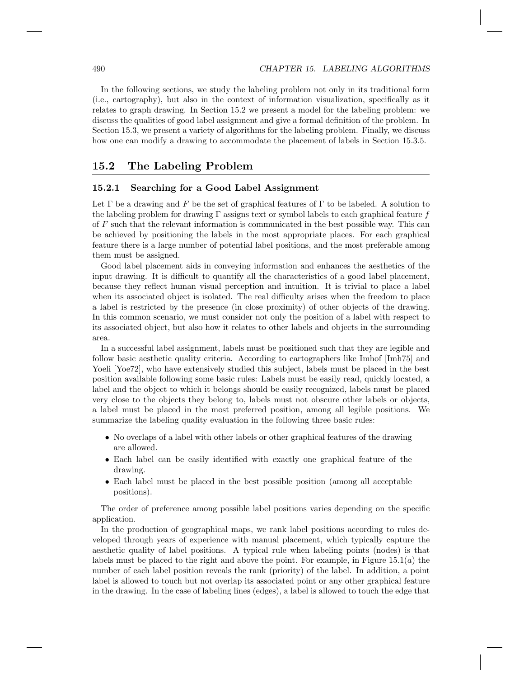In the following sections, we study the labeling problem not only in its traditional form (i.e., cartography), but also in the context of information visualization, specifically as it relates to graph drawing. In Section 15.2 we present a model for the labeling problem: we discuss the qualities of good label assignment and give a formal definition of the problem. In Section 15.3, we present a variety of algorithms for the labeling problem. Finally, we discuss how one can modify a drawing to accommodate the placement of labels in Section 15.3.5.

#### 15.2 The Labeling Problem

#### 15.2.1 Searching for a Good Label Assignment

Let  $\Gamma$  be a drawing and F be the set of graphical features of  $\Gamma$  to be labeled. A solution to the labeling problem for drawing  $\Gamma$  assigns text or symbol labels to each graphical feature f of  $F$  such that the relevant information is communicated in the best possible way. This can be achieved by positioning the labels in the most appropriate places. For each graphical feature there is a large number of potential label positions, and the most preferable among them must be assigned.

Good label placement aids in conveying information and enhances the aesthetics of the input drawing. It is difficult to quantify all the characteristics of a good label placement, because they reflect human visual perception and intuition. It is trivial to place a label when its associated object is isolated. The real difficulty arises when the freedom to place a label is restricted by the presence (in close proximity) of other objects of the drawing. In this common scenario, we must consider not only the position of a label with respect to its associated object, but also how it relates to other labels and objects in the surrounding area.

In a successful label assignment, labels must be positioned such that they are legible and follow basic aesthetic quality criteria. According to cartographers like Imhof [Imh75] and Yoeli [Yoe72], who have extensively studied this subject, labels must be placed in the best position available following some basic rules: Labels must be easily read, quickly located, a label and the object to which it belongs should be easily recognized, labels must be placed very close to the objects they belong to, labels must not obscure other labels or objects, a label must be placed in the most preferred position, among all legible positions. We summarize the labeling quality evaluation in the following three basic rules:

- No overlaps of a label with other labels or other graphical features of the drawing are allowed.
- Each label can be easily identified with exactly one graphical feature of the drawing.
- Each label must be placed in the best possible position (among all acceptable positions).

The order of preference among possible label positions varies depending on the specific application.

In the production of geographical maps, we rank label positions according to rules developed through years of experience with manual placement, which typically capture the aesthetic quality of label positions. A typical rule when labeling points (nodes) is that labels must be placed to the right and above the point. For example, in Figure 15.1(a) the number of each label position reveals the rank (priority) of the label. In addition, a point label is allowed to touch but not overlap its associated point or any other graphical feature in the drawing. In the case of labeling lines (edges), a label is allowed to touch the edge that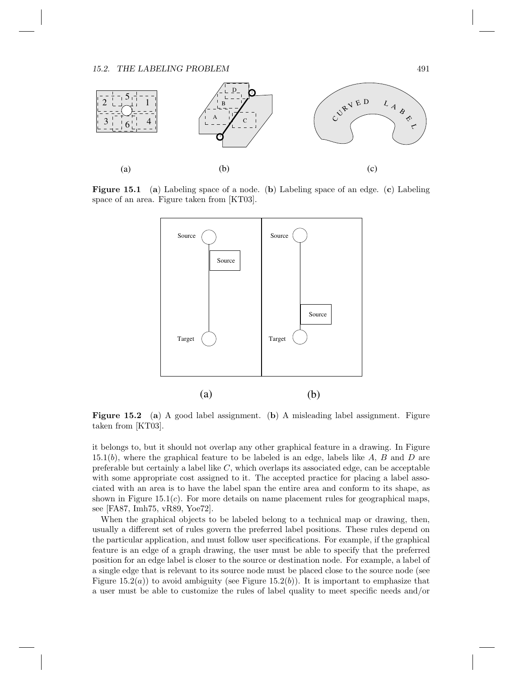

Figure 15.1 (a) Labeling space of a node. (b) Labeling space of an edge. (c) Labeling space of an area. Figure taken from [KT03].



Figure 15.2 (a) A good label assignment. (b) A misleading label assignment. Figure taken from [KT03].

it belongs to, but it should not overlap any other graphical feature in a drawing. In Figure 15.1(b), where the graphical feature to be labeled is an edge, labels like  $A, B$  and  $D$  are preferable but certainly a label like  $C$ , which overlaps its associated edge, can be acceptable with some appropriate cost assigned to it. The accepted practice for placing a label associated with an area is to have the label span the entire area and conform to its shape, as shown in Figure 15.1 $(c)$ . For more details on name placement rules for geographical maps, see [FA87, Imh75, vR89, Yoe72].

When the graphical objects to be labeled belong to a technical map or drawing, then, usually a different set of rules govern the preferred label positions. These rules depend on the particular application, and must follow user specifications. For example, if the graphical feature is an edge of a graph drawing, the user must be able to specify that the preferred position for an edge label is closer to the source or destination node. For example, a label of a single edge that is relevant to its source node must be placed close to the source node (see Figure 15.2(*a*)) to avoid ambiguity (see Figure 15.2(*b*)). It is important to emphasize that a user must be able to customize the rules of label quality to meet specific needs and/or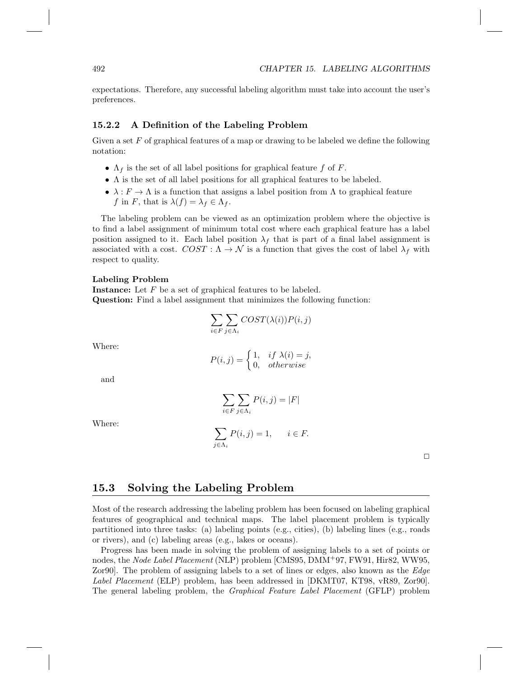expectations. Therefore, any successful labeling algorithm must take into account the user's preferences.

#### 15.2.2 A Definition of the Labeling Problem

Given a set  $F$  of graphical features of a map or drawing to be labeled we define the following notation:

- $\Lambda_f$  is the set of all label positions for graphical feature f of F.
- Λ is the set of all label positions for all graphical features to be labeled.
- $\lambda : F \to \Lambda$  is a function that assigns a label position from  $\Lambda$  to graphical feature f in F, that is  $\lambda(f) = \lambda_f \in \Lambda_f$ .

The labeling problem can be viewed as an optimization problem where the objective is to find a label assignment of minimum total cost where each graphical feature has a label position assigned to it. Each label position  $\lambda_f$  that is part of a final label assignment is associated with a cost.  $COST : \Lambda \to \mathcal{N}$  is a function that gives the cost of label  $\lambda_f$  with respect to quality.

#### Labeling Problem

**Instance:** Let  $F$  be a set of graphical features to be labeled. Question: Find a label assignment that minimizes the following function:

$$
\sum_{i \in F} \sum_{j \in \Lambda_i} COST(\lambda(i))P(i,j)
$$

Where:

$$
P(i,j) = \begin{cases} 1, & if \ \lambda(i) = j, \\ 0, & otherwise \end{cases}
$$

and

$$
\sum_{i \in F} \sum_{j \in \Lambda_i} P(i,j) = |F|
$$

Where:

$$
\sum_{j \in \Lambda_i} P(i,j) = 1, \qquad i \in F.
$$

 $\Box$ 

#### 15.3 Solving the Labeling Problem

Most of the research addressing the labeling problem has been focused on labeling graphical features of geographical and technical maps. The label placement problem is typically partitioned into three tasks: (a) labeling points (e.g., cities), (b) labeling lines (e.g., roads or rivers), and (c) labeling areas (e.g., lakes or oceans).

Progress has been made in solving the problem of assigning labels to a set of points or nodes, the *Node Label Placement* (NLP) problem [CMS95, DMM<sup>+</sup>97, FW91, Hir82, WW95, Zor90]. The problem of assigning labels to a set of lines or edges, also known as the *Edge Label Placement* (ELP) problem, has been addressed in [DKMT07, KT98, vR89, Zor90]. The general labeling problem, the *Graphical Feature Label Placement* (GFLP) problem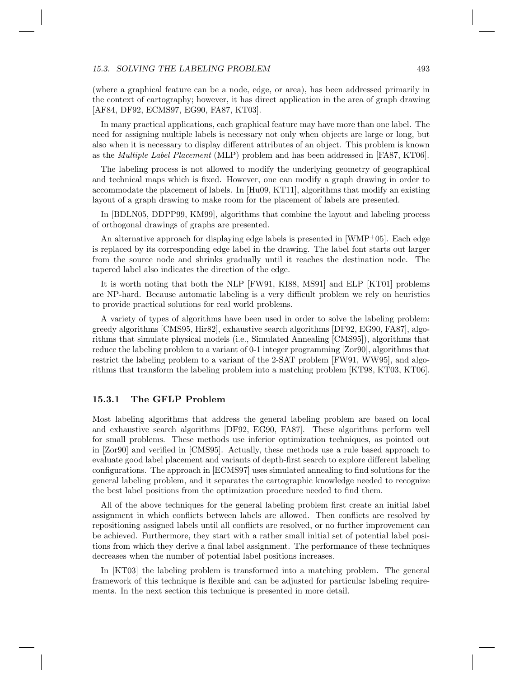#### 15.3. SOLVING THE LABELING PROBLEM 493

(where a graphical feature can be a node, edge, or area), has been addressed primarily in the context of cartography; however, it has direct application in the area of graph drawing [AF84, DF92, ECMS97, EG90, FA87, KT03].

In many practical applications, each graphical feature may have more than one label. The need for assigning multiple labels is necessary not only when objects are large or long, but also when it is necessary to display different attributes of an object. This problem is known as the *Multiple Label Placement* (MLP) problem and has been addressed in [FA87, KT06].

The labeling process is not allowed to modify the underlying geometry of geographical and technical maps which is fixed. However, one can modify a graph drawing in order to accommodate the placement of labels. In [Hu09, KT11], algorithms that modify an existing layout of a graph drawing to make room for the placement of labels are presented.

In [BDLN05, DDPP99, KM99], algorithms that combine the layout and labeling process of orthogonal drawings of graphs are presented.

An alternative approach for displaying edge labels is presented in  $[WMP<sup>+</sup>05]$ . Each edge is replaced by its corresponding edge label in the drawing. The label font starts out larger from the source node and shrinks gradually until it reaches the destination node. The tapered label also indicates the direction of the edge.

It is worth noting that both the NLP [FW91, KI88, MS91] and ELP [KT01] problems are NP-hard. Because automatic labeling is a very difficult problem we rely on heuristics to provide practical solutions for real world problems.

A variety of types of algorithms have been used in order to solve the labeling problem: greedy algorithms [CMS95, Hir82], exhaustive search algorithms [DF92, EG90, FA87], algorithms that simulate physical models (i.e., Simulated Annealing [CMS95]), algorithms that reduce the labeling problem to a variant of 0-1 integer programming [Zor90], algorithms that restrict the labeling problem to a variant of the 2-SAT problem [FW91, WW95], and algorithms that transform the labeling problem into a matching problem [KT98, KT03, KT06].

#### 15.3.1 The GFLP Problem

Most labeling algorithms that address the general labeling problem are based on local and exhaustive search algorithms [DF92, EG90, FA87]. These algorithms perform well for small problems. These methods use inferior optimization techniques, as pointed out in [Zor90] and verified in [CMS95]. Actually, these methods use a rule based approach to evaluate good label placement and variants of depth-first search to explore different labeling configurations. The approach in [ECMS97] uses simulated annealing to find solutions for the general labeling problem, and it separates the cartographic knowledge needed to recognize the best label positions from the optimization procedure needed to find them.

All of the above techniques for the general labeling problem first create an initial label assignment in which conflicts between labels are allowed. Then conflicts are resolved by repositioning assigned labels until all conflicts are resolved, or no further improvement can be achieved. Furthermore, they start with a rather small initial set of potential label positions from which they derive a final label assignment. The performance of these techniques decreases when the number of potential label positions increases.

In [KT03] the labeling problem is transformed into a matching problem. The general framework of this technique is flexible and can be adjusted for particular labeling requirements. In the next section this technique is presented in more detail.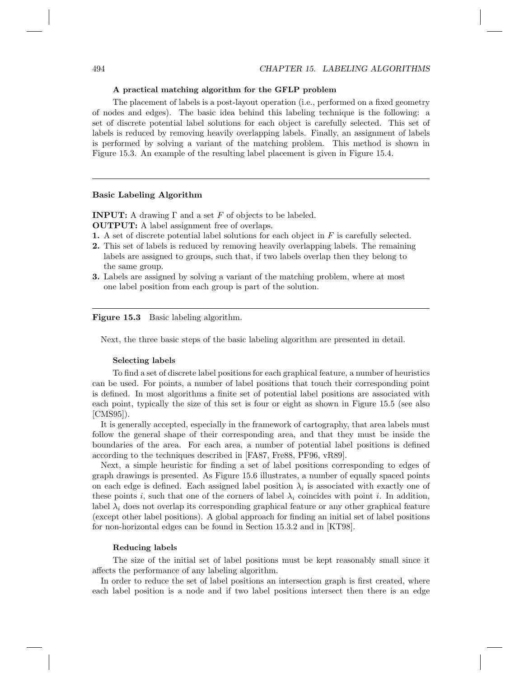#### A practical matching algorithm for the GFLP problem

The placement of labels is a post-layout operation (i.e., performed on a fixed geometry of nodes and edges). The basic idea behind this labeling technique is the following: a set of discrete potential label solutions for each object is carefully selected. This set of labels is reduced by removing heavily overlapping labels. Finally, an assignment of labels is performed by solving a variant of the matching problem. This method is shown in Figure 15.3. An example of the resulting label placement is given in Figure 15.4.

#### Basic Labeling Algorithm

**INPUT:** A drawing  $\Gamma$  and a set  $F$  of objects to be labeled.

OUTPUT: A label assignment free of overlaps.

- 1. A set of discrete potential label solutions for each object in  $F$  is carefully selected.
- 2. This set of labels is reduced by removing heavily overlapping labels. The remaining labels are assigned to groups, such that, if two labels overlap then they belong to the same group.
- 3. Labels are assigned by solving a variant of the matching problem, where at most one label position from each group is part of the solution.

#### Figure 15.3 Basic labeling algorithm.

Next, the three basic steps of the basic labeling algorithm are presented in detail.

#### Selecting labels

To find a set of discrete label positions for each graphical feature, a number of heuristics can be used. For points, a number of label positions that touch their corresponding point is defined. In most algorithms a finite set of potential label positions are associated with each point, typically the size of this set is four or eight as shown in Figure 15.5 (see also [CMS95]).

It is generally accepted, especially in the framework of cartography, that area labels must follow the general shape of their corresponding area, and that they must be inside the boundaries of the area. For each area, a number of potential label positions is defined according to the techniques described in [FA87, Fre88, PF96, vR89].

Next, a simple heuristic for finding a set of label positions corresponding to edges of graph drawings is presented. As Figure 15.6 illustrates, a number of equally spaced points on each edge is defined. Each assigned label position  $\lambda_i$  is associated with exactly one of these points i, such that one of the corners of label  $\lambda_i$  coincides with point i. In addition, label  $\lambda_i$  does not overlap its corresponding graphical feature or any other graphical feature (except other label positions). A global approach for finding an initial set of label positions for non-horizontal edges can be found in Section 15.3.2 and in [KT98].

#### Reducing labels

The size of the initial set of label positions must be kept reasonably small since it affects the performance of any labeling algorithm.

In order to reduce the set of label positions an intersection graph is first created, where each label position is a node and if two label positions intersect then there is an edge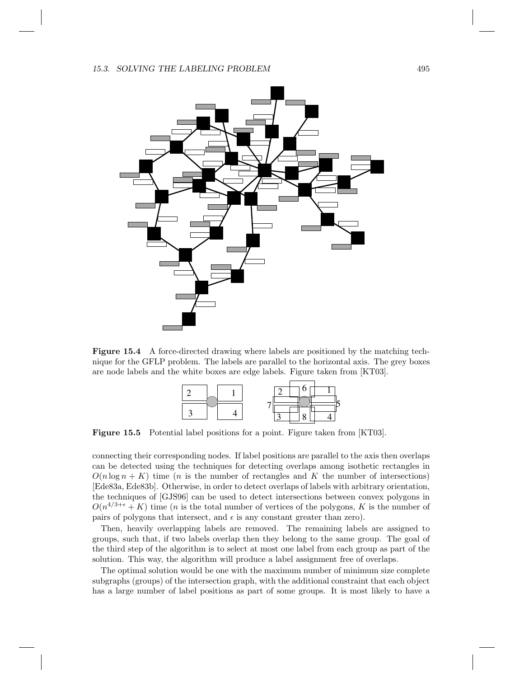

Figure 15.4 A force-directed drawing where labels are positioned by the matching technique for the GFLP problem. The labels are parallel to the horizontal axis. The grey boxes are node labels and the white boxes are edge labels. Figure taken from [KT03].



Figure 15.5 Potential label positions for a point. Figure taken from [KT03].

connecting their corresponding nodes. If label positions are parallel to the axis then overlaps can be detected using the techniques for detecting overlaps among isothetic rectangles in  $O(n \log n + K)$  time (*n* is the number of rectangles and K the number of intersections) [Ede83a, Ede83b]. Otherwise, in order to detect overlaps of labels with arbitrary orientation, the techniques of [GJS96] can be used to detect intersections between convex polygons in  $O(n^{4/3+\epsilon}+K)$  time (*n* is the total number of vertices of the polygons, K is the number of pairs of polygons that intersect, and  $\epsilon$  is any constant greater than zero).

Then, heavily overlapping labels are removed. The remaining labels are assigned to groups, such that, if two labels overlap then they belong to the same group. The goal of the third step of the algorithm is to select at most one label from each group as part of the solution. This way, the algorithm will produce a label assignment free of overlaps.

The optimal solution would be one with the maximum number of minimum size complete subgraphs (groups) of the intersection graph, with the additional constraint that each object has a large number of label positions as part of some groups. It is most likely to have a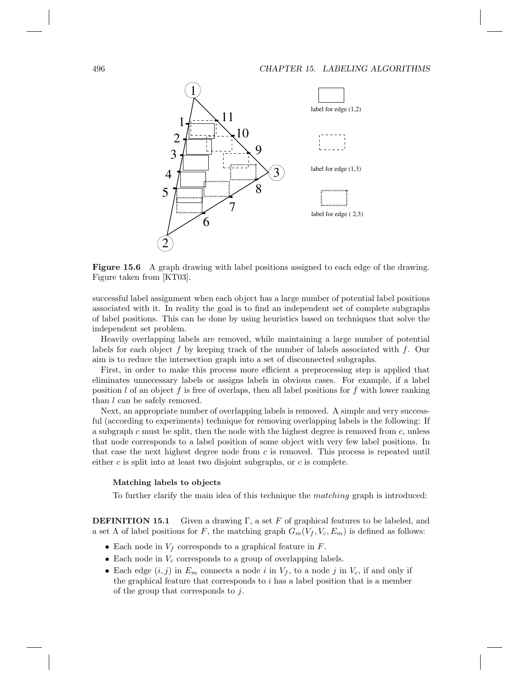

Figure 15.6 A graph drawing with label positions assigned to each edge of the drawing. Figure taken from [KT03].

successful label assignment when each object has a large number of potential label positions associated with it. In reality the goal is to find an independent set of complete subgraphs of label positions. This can be done by using heuristics based on techniques that solve the independent set problem.

Heavily overlapping labels are removed, while maintaining a large number of potential labels for each object f by keeping track of the number of labels associated with f. Our aim is to reduce the intersection graph into a set of disconnected subgraphs.

First, in order to make this process more efficient a preprocessing step is applied that eliminates unnecessary labels or assigns labels in obvious cases. For example, if a label position l of an object f is free of overlaps, then all label positions for f with lower ranking than *l* can be safely removed.

Next, an appropriate number of overlapping labels is removed. A simple and very successful (according to experiments) technique for removing overlapping labels is the following: If a subgraph c must be split, then the node with the highest degree is removed from  $c$ , unless that node corresponds to a label position of some object with very few label positions. In that case the next highest degree node from c is removed. This process is repeated until either  $c$  is split into at least two disjoint subgraphs, or  $c$  is complete.

#### Matching labels to objects

To further clarify the main idea of this technique the matching graph is introduced:

**DEFINITION 15.1** Given a drawing Γ, a set F of graphical features to be labeled, and a set  $\Lambda$  of label positions for F, the matching graph  $G_m(V_f, V_c, E_m)$  is defined as follows:

- Each node in  $V_f$  corresponds to a graphical feature in  $F$ .
- Each node in  $V_c$  corresponds to a group of overlapping labels.
- Each edge  $(i, j)$  in  $E_m$  connects a node i in  $V_f$ , to a node j in  $V_c$ , if and only if the graphical feature that corresponds to  $i$  has a label position that is a member of the group that corresponds to  $j$ .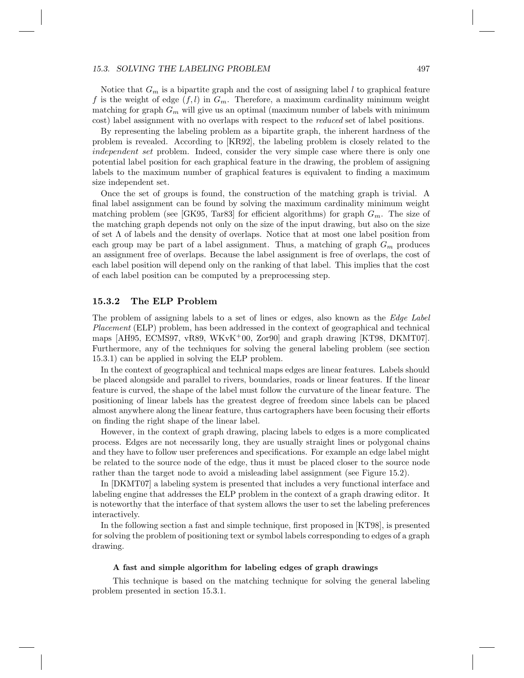#### 15.3. SOLVING THE LABELING PROBLEM 497

Notice that  $G_m$  is a bipartite graph and the cost of assigning label l to graphical feature f is the weight of edge  $(f, l)$  in  $G_m$ . Therefore, a maximum cardinality minimum weight matching for graph  $G_m$  will give us an optimal (maximum number of labels with minimum cost) label assignment with no overlaps with respect to the *reduced* set of label positions.

By representing the labeling problem as a bipartite graph, the inherent hardness of the problem is revealed. According to [KR92], the labeling problem is closely related to the independent set problem. Indeed, consider the very simple case where there is only one potential label position for each graphical feature in the drawing, the problem of assigning labels to the maximum number of graphical features is equivalent to finding a maximum size independent set.

Once the set of groups is found, the construction of the matching graph is trivial. A final label assignment can be found by solving the maximum cardinality minimum weight matching problem (see  $\lbrack GK95, \text{Tar}83 \rbrack$  for efficient algorithms) for graph  $G_m$ . The size of the matching graph depends not only on the size of the input drawing, but also on the size of set  $\Lambda$  of labels and the density of overlaps. Notice that at most one label position from each group may be part of a label assignment. Thus, a matching of graph  $G_m$  produces an assignment free of overlaps. Because the label assignment is free of overlaps, the cost of each label position will depend only on the ranking of that label. This implies that the cost of each label position can be computed by a preprocessing step.

#### 15.3.2 The ELP Problem

The problem of assigning labels to a set of lines or edges, also known as the *Edge Label Placement* (ELP) problem, has been addressed in the context of geographical and technical maps [AH95, ECMS97, vR89, WKvK<sup>+</sup>00, Zor90] and graph drawing [KT98, DKMT07]. Furthermore, any of the techniques for solving the general labeling problem (see section 15.3.1) can be applied in solving the ELP problem.

In the context of geographical and technical maps edges are linear features. Labels should be placed alongside and parallel to rivers, boundaries, roads or linear features. If the linear feature is curved, the shape of the label must follow the curvature of the linear feature. The positioning of linear labels has the greatest degree of freedom since labels can be placed almost anywhere along the linear feature, thus cartographers have been focusing their efforts on finding the right shape of the linear label.

However, in the context of graph drawing, placing labels to edges is a more complicated process. Edges are not necessarily long, they are usually straight lines or polygonal chains and they have to follow user preferences and specifications. For example an edge label might be related to the source node of the edge, thus it must be placed closer to the source node rather than the target node to avoid a misleading label assignment (see Figure 15.2).

In [DKMT07] a labeling system is presented that includes a very functional interface and labeling engine that addresses the ELP problem in the context of a graph drawing editor. It is noteworthy that the interface of that system allows the user to set the labeling preferences interactively.

In the following section a fast and simple technique, first proposed in [KT98], is presented for solving the problem of positioning text or symbol labels corresponding to edges of a graph drawing.

#### A fast and simple algorithm for labeling edges of graph drawings

This technique is based on the matching technique for solving the general labeling problem presented in section 15.3.1.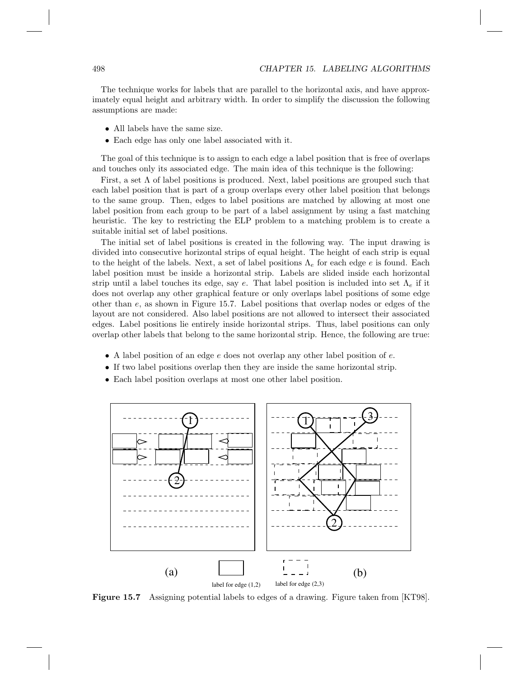The technique works for labels that are parallel to the horizontal axis, and have approximately equal height and arbitrary width. In order to simplify the discussion the following assumptions are made:

- All labels have the same size.
- Each edge has only one label associated with it.

The goal of this technique is to assign to each edge a label position that is free of overlaps and touches only its associated edge. The main idea of this technique is the following:

First, a set  $\Lambda$  of label positions is produced. Next, label positions are grouped such that each label position that is part of a group overlaps every other label position that belongs to the same group. Then, edges to label positions are matched by allowing at most one label position from each group to be part of a label assignment by using a fast matching heuristic. The key to restricting the ELP problem to a matching problem is to create a suitable initial set of label positions.

The initial set of label positions is created in the following way. The input drawing is divided into consecutive horizontal strips of equal height. The height of each strip is equal to the height of the labels. Next, a set of label positions  $\Lambda_e$  for each edge e is found. Each label position must be inside a horizontal strip. Labels are slided inside each horizontal strip until a label touches its edge, say e. That label position is included into set  $\Lambda_e$  if it does not overlap any other graphical feature or only overlaps label positions of some edge other than e, as shown in Figure 15.7. Label positions that overlap nodes or edges of the layout are not considered. Also label positions are not allowed to intersect their associated edges. Label positions lie entirely inside horizontal strips. Thus, label positions can only overlap other labels that belong to the same horizontal strip. Hence, the following are true:

- A label position of an edge e does not overlap any other label position of e.
- If two label positions overlap then they are inside the same horizontal strip.
- Each label position overlaps at most one other label position.



Figure 15.7 Assigning potential labels to edges of a drawing. Figure taken from [KT98].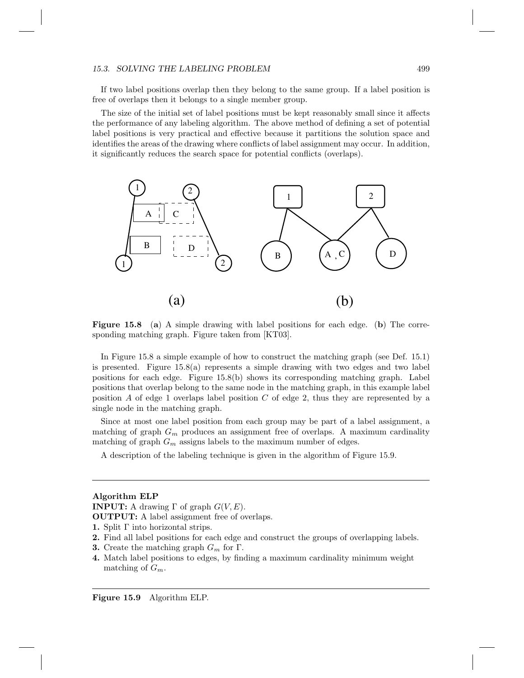#### 15.3. SOLVING THE LABELING PROBLEM 499

If two label positions overlap then they belong to the same group. If a label position is free of overlaps then it belongs to a single member group.

The size of the initial set of label positions must be kept reasonably small since it affects the performance of any labeling algorithm. The above method of defining a set of potential label positions is very practical and effective because it partitions the solution space and identifies the areas of the drawing where conflicts of label assignment may occur. In addition, it significantly reduces the search space for potential conflicts (overlaps).



Figure 15.8 (a) A simple drawing with label positions for each edge. (b) The corresponding matching graph. Figure taken from [KT03].

In Figure 15.8 a simple example of how to construct the matching graph (see Def. 15.1) is presented. Figure  $15.8(a)$  represents a simple drawing with two edges and two label positions for each edge. Figure 15.8(b) shows its corresponding matching graph. Label positions that overlap belong to the same node in the matching graph, in this example label position A of edge 1 overlaps label position C of edge 2, thus they are represented by a single node in the matching graph.

Since at most one label position from each group may be part of a label assignment, a matching of graph  $G_m$  produces an assignment free of overlaps. A maximum cardinality matching of graph  $G_m$  assigns labels to the maximum number of edges.

A description of the labeling technique is given in the algorithm of Figure 15.9.

**INPUT:** A drawing  $\Gamma$  of graph  $G(V, E)$ .

OUTPUT: A label assignment free of overlaps.

- 1. Split Γ into horizontal strips.
- 2. Find all label positions for each edge and construct the groups of overlapping labels.
- **3.** Create the matching graph  $G_m$  for Γ.
- 4. Match label positions to edges, by finding a maximum cardinality minimum weight matching of  $G_m$ .

Algorithm ELP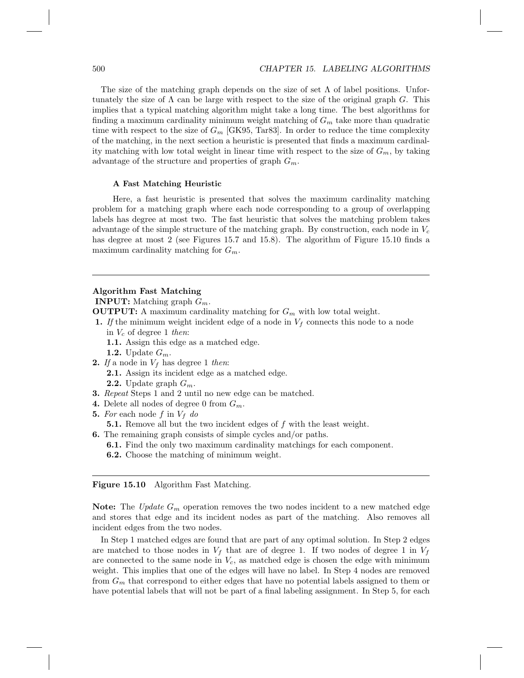The size of the matching graph depends on the size of set  $\Lambda$  of label positions. Unfortunately the size of  $\Lambda$  can be large with respect to the size of the original graph G. This implies that a typical matching algorithm might take a long time. The best algorithms for finding a maximum cardinality minimum weight matching of  $G_m$  take more than quadratic time with respect to the size of  $G_m$  [GK95, Tar83]. In order to reduce the time complexity of the matching, in the next section a heuristic is presented that finds a maximum cardinality matching with low total weight in linear time with respect to the size of  $G_m$ , by taking advantage of the structure and properties of graph  $G_m$ .

#### A Fast Matching Heuristic

Here, a fast heuristic is presented that solves the maximum cardinality matching problem for a matching graph where each node corresponding to a group of overlapping labels has degree at most two. The fast heuristic that solves the matching problem takes advantage of the simple structure of the matching graph. By construction, each node in  $V_c$ has degree at most 2 (see Figures 15.7 and 15.8). The algorithm of Figure 15.10 finds a maximum cardinality matching for  $G_m$ .

#### Algorithm Fast Matching

**INPUT:** Matching graph  $G_m$ .

**OUTPUT:** A maximum cardinality matching for  $G_m$  with low total weight.

- 1. If the minimum weight incident edge of a node in  $V_f$  connects this node to a node in V<sup>c</sup> of degree 1 *then*:
	- 1.1. Assign this edge as a matched edge.
	- **1.2.** Update  $G_m$ .
- **2.** *If* a node in  $V_f$  has degree 1 *then*:
	- 2.1. Assign its incident edge as a matched edge.
	- **2.2.** Update graph  $G_m$ .
- 3. *Repeat* Steps 1 and 2 until no new edge can be matched.
- 4. Delete all nodes of degree 0 from  $G_m$ .
- 5. For each node f in  $V_f$  *do*

**5.1.** Remove all but the two incident edges of  $f$  with the least weight.

- 6. The remaining graph consists of simple cycles and/or paths.
	- 6.1. Find the only two maximum cardinality matchings for each component.
	- 6.2. Choose the matching of minimum weight.

#### Figure 15.10 Algorithm Fast Matching.

**Note:** The *Update*  $G_m$  operation removes the two nodes incident to a new matched edge and stores that edge and its incident nodes as part of the matching. Also removes all incident edges from the two nodes.

In Step 1 matched edges are found that are part of any optimal solution. In Step 2 edges are matched to those nodes in  $V_f$  that are of degree 1. If two nodes of degree 1 in  $V_f$ are connected to the same node in  $V_c$ , as matched edge is chosen the edge with minimum weight. This implies that one of the edges will have no label. In Step 4 nodes are removed from  $G_m$  that correspond to either edges that have no potential labels assigned to them or have potential labels that will not be part of a final labeling assignment. In Step 5, for each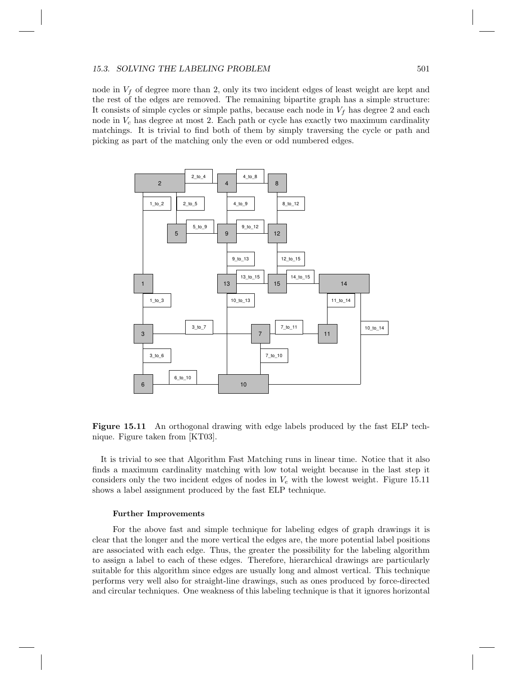#### 15.3. SOLVING THE LABELING PROBLEM 501

node in  $V_f$  of degree more than 2, only its two incident edges of least weight are kept and the rest of the edges are removed. The remaining bipartite graph has a simple structure: It consists of simple cycles or simple paths, because each node in  $V_f$  has degree 2 and each node in  $V_c$  has degree at most 2. Each path or cycle has exactly two maximum cardinality matchings. It is trivial to find both of them by simply traversing the cycle or path and picking as part of the matching only the even or odd numbered edges.



Figure 15.11 An orthogonal drawing with edge labels produced by the fast ELP technique. Figure taken from [KT03].

It is trivial to see that Algorithm Fast Matching runs in linear time. Notice that it also finds a maximum cardinality matching with low total weight because in the last step it considers only the two incident edges of nodes in  $V_e$  with the lowest weight. Figure 15.11 shows a label assignment produced by the fast ELP technique.

#### Further Improvements

For the above fast and simple technique for labeling edges of graph drawings it is clear that the longer and the more vertical the edges are, the more potential label positions are associated with each edge. Thus, the greater the possibility for the labeling algorithm to assign a label to each of these edges. Therefore, hierarchical drawings are particularly suitable for this algorithm since edges are usually long and almost vertical. This technique performs very well also for straight-line drawings, such as ones produced by force-directed and circular techniques. One weakness of this labeling technique is that it ignores horizontal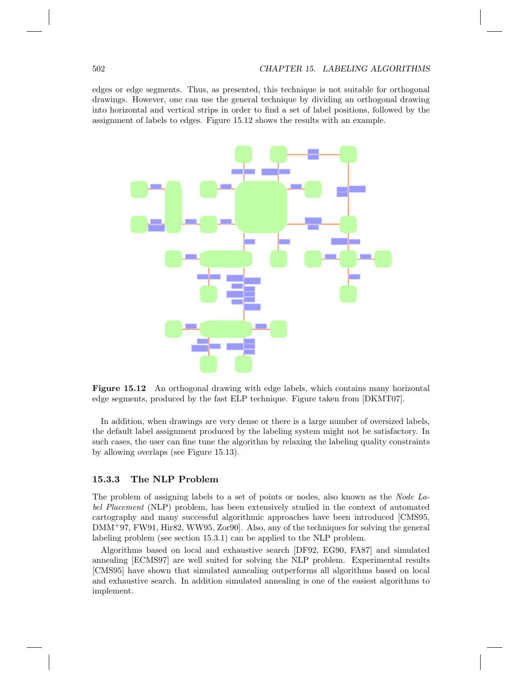edges or edge segments. Thus, as presented, this technique is not suitable for orthogonal drawings. However, one can use the general technique by dividing an orthogonal drawing into horizontal and vertical strips in order to find a set of label positions, followed by the assignment of labels to edges. Figure 15.12 shows the results with an example.



Figure 15.12 An orthogonal drawing with edge labels, which contains many horizontal edge segments, produced by the fast ELP technique. Figure taken from [DKMT07].

In addition, when drawings are very dense or there is a large number of oversized labels, the default label assignment produced by the labeling system might not be satisfactory. In such cases, the user can fine tune the algorithm by relaxing the labeling quality constraints by allowing overlaps (see Figure 15.13).

#### 15.3.3 The NLP Problem

The problem of assigning labels to a set of points or nodes, also known as the *Node Label Placement* (NLP) problem, has been extensively studied in the context of automated cartography and many successful algorithmic approaches have been introduced [CMS95, DMM<sup>+</sup>97, FW91, Hir82, WW95, Zor90]. Also, any of the techniques for solving the general labeling problem (see section 15.3.1) can be applied to the NLP problem.

Algorithms based on local and exhaustive search [DF92, EG90, FA87] and simulated annealing [ECMS97] are well suited for solving the NLP problem. Experimental results [CMS95] have shown that simulated annealing outperforms all algorithms based on local and exhaustive search. In addition simulated annealing is one of the easiest algorithms to implement.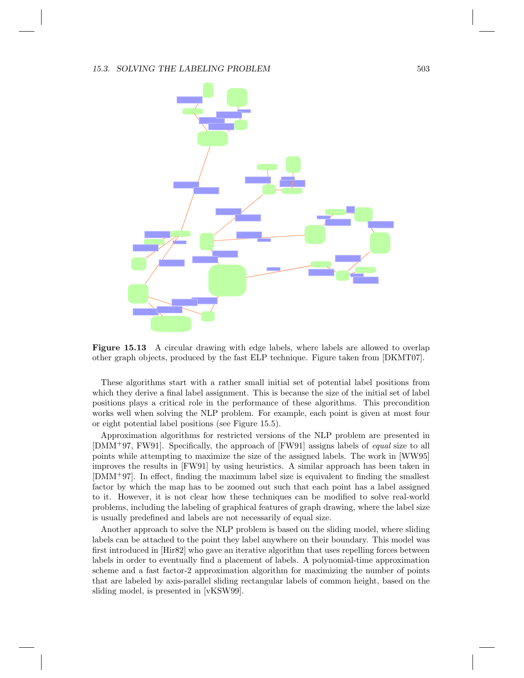

Figure 15.13 A circular drawing with edge labels, where labels are allowed to overlap other graph objects, produced by the fast ELP technique. Figure taken from [DKMT07].

These algorithms start with a rather small initial set of potential label positions from which they derive a final label assignment. This is because the size of the initial set of label positions plays a critical role in the performance of these algorithms. This precondition works well when solving the NLP problem. For example, each point is given at most four or eight potential label positions (see Figure 15.5).

Approximation algorithms for restricted versions of the NLP problem are presented in [DMM<sup>+</sup>97, FW91]. Specifically, the approach of [FW91] assigns labels of *equal* size to all points while attempting to maximize the size of the assigned labels. The work in [WW95] improves the results in [FW91] by using heuristics. A similar approach has been taken in [DMM<sup>+</sup>97]. In effect, finding the maximum label size is equivalent to finding the smallest factor by which the map has to be zoomed out such that each point has a label assigned to it. However, it is not clear how these techniques can be modified to solve real-world problems, including the labeling of graphical features of graph drawing, where the label size is usually predefined and labels are not necessarily of equal size.

Another approach to solve the NLP problem is based on the sliding model, where sliding labels can be attached to the point they label anywhere on their boundary. This model was first introduced in [Hir82] who gave an iterative algorithm that uses repelling forces between labels in order to eventually find a placement of labels. A polynomial-time approximation scheme and a fast factor-2 approximation algorithm for maximizing the number of points that are labeled by axis-parallel sliding rectangular labels of common height, based on the sliding model, is presented in [vKSW99].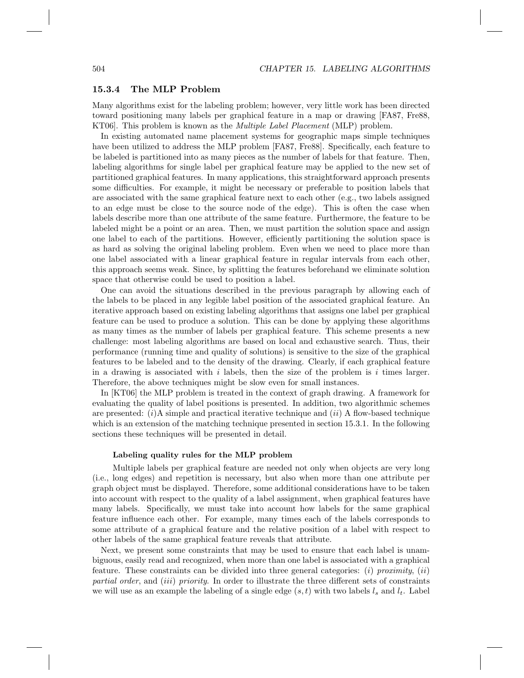#### 15.3.4 The MLP Problem

Many algorithms exist for the labeling problem; however, very little work has been directed toward positioning many labels per graphical feature in a map or drawing [FA87, Fre88, KT06]. This problem is known as the *Multiple Label Placement* (MLP) problem.

In existing automated name placement systems for geographic maps simple techniques have been utilized to address the MLP problem [FA87, Fre88]. Specifically, each feature to be labeled is partitioned into as many pieces as the number of labels for that feature. Then, labeling algorithms for single label per graphical feature may be applied to the new set of partitioned graphical features. In many applications, this straightforward approach presents some difficulties. For example, it might be necessary or preferable to position labels that are associated with the same graphical feature next to each other (e.g., two labels assigned to an edge must be close to the source node of the edge). This is often the case when labels describe more than one attribute of the same feature. Furthermore, the feature to be labeled might be a point or an area. Then, we must partition the solution space and assign one label to each of the partitions. However, efficiently partitioning the solution space is as hard as solving the original labeling problem. Even when we need to place more than one label associated with a linear graphical feature in regular intervals from each other, this approach seems weak. Since, by splitting the features beforehand we eliminate solution space that otherwise could be used to position a label.

One can avoid the situations described in the previous paragraph by allowing each of the labels to be placed in any legible label position of the associated graphical feature. An iterative approach based on existing labeling algorithms that assigns one label per graphical feature can be used to produce a solution. This can be done by applying these algorithms as many times as the number of labels per graphical feature. This scheme presents a new challenge: most labeling algorithms are based on local and exhaustive search. Thus, their performance (running time and quality of solutions) is sensitive to the size of the graphical features to be labeled and to the density of the drawing. Clearly, if each graphical feature in a drawing is associated with i labels, then the size of the problem is i times larger. Therefore, the above techniques might be slow even for small instances.

In [KT06] the MLP problem is treated in the context of graph drawing. A framework for evaluating the quality of label positions is presented. In addition, two algorithmic schemes are presented:  $(i)$  A simple and practical iterative technique and  $(ii)$  A flow-based technique which is an extension of the matching technique presented in section 15.3.1. In the following sections these techniques will be presented in detail.

#### Labeling quality rules for the MLP problem

Multiple labels per graphical feature are needed not only when objects are very long (i.e., long edges) and repetition is necessary, but also when more than one attribute per graph object must be displayed. Therefore, some additional considerations have to be taken into account with respect to the quality of a label assignment, when graphical features have many labels. Specifically, we must take into account how labels for the same graphical feature influence each other. For example, many times each of the labels corresponds to some attribute of a graphical feature and the relative position of a label with respect to other labels of the same graphical feature reveals that attribute.

Next, we present some constraints that may be used to ensure that each label is unambiguous, easily read and recognized, when more than one label is associated with a graphical feature. These constraints can be divided into three general categories: (i) *proximity*, (ii) *partial order*, and (iii) *priority*. In order to illustrate the three different sets of constraints we will use as an example the labeling of a single edge  $(s, t)$  with two labels  $l_s$  and  $l_t$ . Label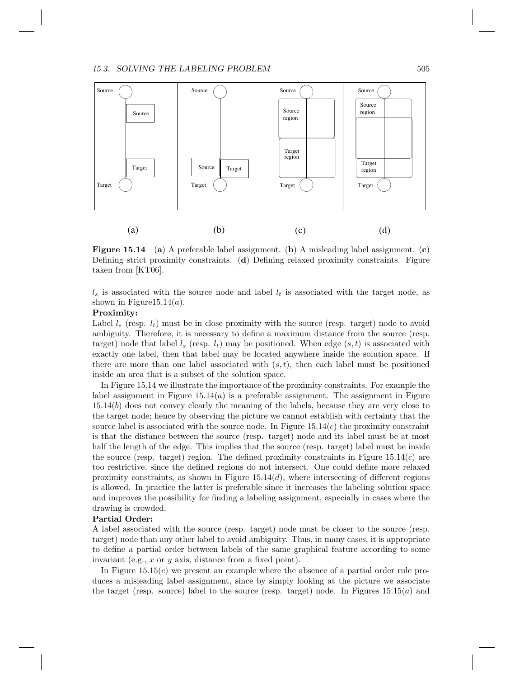

Figure 15.14 (a) A preferable label assignment. (b) A misleading label assignment. (c) Defining strict proximity constraints. (d) Defining relaxed proximity constraints. Figure taken from [KT06].

 $l_s$  is associated with the source node and label  $l_t$  is associated with the target node, as shown in Figure  $15.14(a)$ .

#### Proximity:

Label  $l_s$  (resp.  $l_t$ ) must be in close proximity with the source (resp. target) node to avoid ambiguity. Therefore, it is necessary to define a maximum distance from the source (resp. target) node that label  $l_s$  (resp.  $l_t$ ) may be positioned. When edge  $(s, t)$  is associated with exactly one label, then that label may be located anywhere inside the solution space. If there are more than one label associated with  $(s, t)$ , then each label must be positioned inside an area that is a subset of the solution space.

In Figure 15.14 we illustrate the importance of the proximity constraints. For example the label assignment in Figure  $15.14(a)$  is a preferable assignment. The assignment in Figure 15.14(b) does not convey clearly the meaning of the labels, because they are very close to the target node; hence by observing the picture we cannot establish with certainty that the source label is associated with the source node. In Figure  $15.14(c)$  the proximity constraint is that the distance between the source (resp. target) node and its label must be at most half the length of the edge. This implies that the source (resp. target) label must be inside the source (resp. target) region. The defined proximity constraints in Figure 15.14 $(c)$  are too restrictive, since the defined regions do not intersect. One could define more relaxed proximity constraints, as shown in Figure  $15.14(d)$ , where intersecting of different regions is allowed. In practice the latter is preferable since it increases the labeling solution space and improves the possibility for finding a labeling assignment, especially in cases where the drawing is crowded.

#### Partial Order:

A label associated with the source (resp. target) node must be closer to the source (resp. target) node than any other label to avoid ambiguity. Thus, in many cases, it is appropriate to define a partial order between labels of the same graphical feature according to some invariant (e.g., x or y axis, distance from a fixed point).

In Figure  $15.15(c)$  we present an example where the absence of a partial order rule produces a misleading label assignment, since by simply looking at the picture we associate the target (resp. source) label to the source (resp. target) node. In Figures  $15.15(a)$  and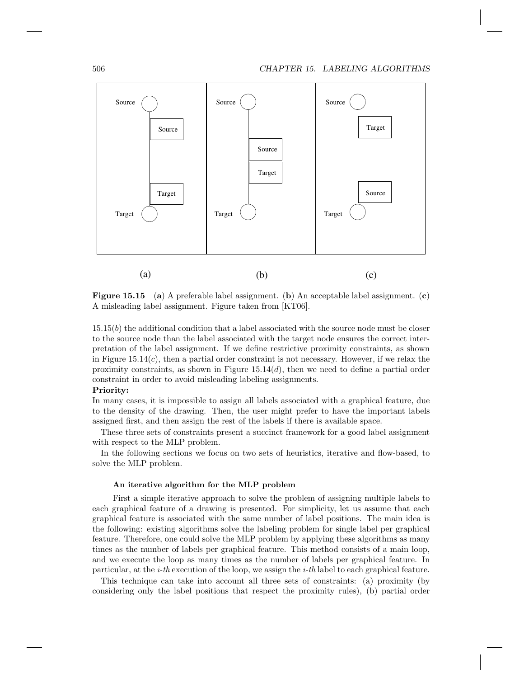

**Figure 15.15** (a) A preferable label assignment. (b) An acceptable label assignment. (c) A misleading label assignment. Figure taken from [KT06].

 $15.15(b)$  the additional condition that a label associated with the source node must be closer to the source node than the label associated with the target node ensures the correct interpretation of the label assignment. If we define restrictive proximity constraints, as shown in Figure 15.14(c), then a partial order constraint is not necessary. However, if we relax the proximity constraints, as shown in Figure  $15.14(d)$ , then we need to define a partial order constraint in order to avoid misleading labeling assignments.

#### Priority:

In many cases, it is impossible to assign all labels associated with a graphical feature, due to the density of the drawing. Then, the user might prefer to have the important labels assigned first, and then assign the rest of the labels if there is available space.

These three sets of constraints present a succinct framework for a good label assignment with respect to the MLP problem.

In the following sections we focus on two sets of heuristics, iterative and flow-based, to solve the MLP problem.

#### An iterative algorithm for the MLP problem

First a simple iterative approach to solve the problem of assigning multiple labels to each graphical feature of a drawing is presented. For simplicity, let us assume that each graphical feature is associated with the same number of label positions. The main idea is the following: existing algorithms solve the labeling problem for single label per graphical feature. Therefore, one could solve the MLP problem by applying these algorithms as many times as the number of labels per graphical feature. This method consists of a main loop, and we execute the loop as many times as the number of labels per graphical feature. In particular, at the *i-th* execution of the loop, we assign the *i-th* label to each graphical feature.

This technique can take into account all three sets of constraints: (a) proximity (by considering only the label positions that respect the proximity rules), (b) partial order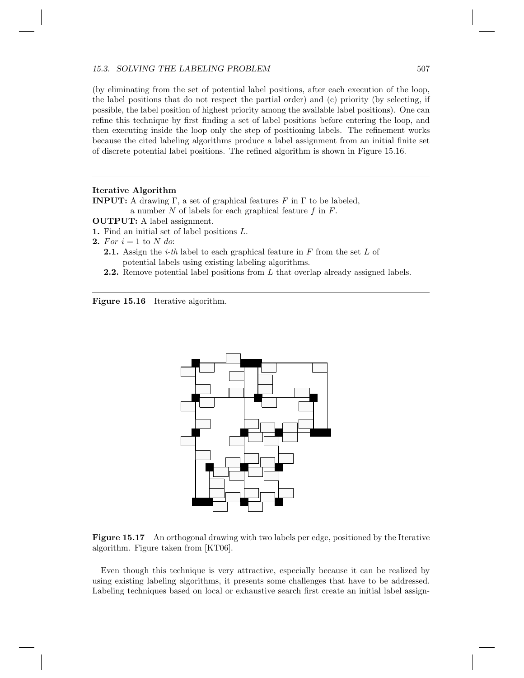#### 15.3. SOLVING THE LABELING PROBLEM 507

(by eliminating from the set of potential label positions, after each execution of the loop, the label positions that do not respect the partial order) and (c) priority (by selecting, if possible, the label position of highest priority among the available label positions). One can refine this technique by first finding a set of label positions before entering the loop, and then executing inside the loop only the step of positioning labels. The refinement works because the cited labeling algorithms produce a label assignment from an initial finite set of discrete potential label positions. The refined algorithm is shown in Figure 15.16.

#### Iterative Algorithm

**INPUT:** A drawing  $\Gamma$ , a set of graphical features F in  $\Gamma$  to be labeled,

- a number  $N$  of labels for each graphical feature  $f$  in  $F$ .
- OUTPUT: A label assignment.
- 1. Find an initial set of label positions L.
- **2.** For  $i = 1$  to N do:
	- 2.1. Assign the *i-th* label to each graphical feature in F from the set L of potential labels using existing labeling algorithms.
	- 2.2. Remove potential label positions from L that overlap already assigned labels.





Figure 15.17 An orthogonal drawing with two labels per edge, positioned by the Iterative algorithm. Figure taken from [KT06].

Even though this technique is very attractive, especially because it can be realized by using existing labeling algorithms, it presents some challenges that have to be addressed. Labeling techniques based on local or exhaustive search first create an initial label assign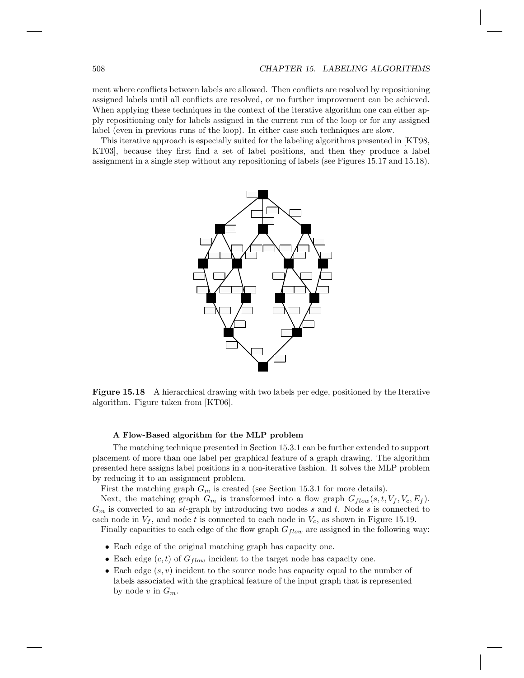ment where conflicts between labels are allowed. Then conflicts are resolved by repositioning assigned labels until all conflicts are resolved, or no further improvement can be achieved. When applying these techniques in the context of the iterative algorithm one can either apply repositioning only for labels assigned in the current run of the loop or for any assigned label (even in previous runs of the loop). In either case such techniques are slow.

This iterative approach is especially suited for the labeling algorithms presented in [KT98, KT03], because they first find a set of label positions, and then they produce a label assignment in a single step without any repositioning of labels (see Figures 15.17 and 15.18).



Figure 15.18 A hierarchical drawing with two labels per edge, positioned by the Iterative algorithm. Figure taken from [KT06].

#### A Flow-Based algorithm for the MLP problem

The matching technique presented in Section 15.3.1 can be further extended to support placement of more than one label per graphical feature of a graph drawing. The algorithm presented here assigns label positions in a non-iterative fashion. It solves the MLP problem by reducing it to an assignment problem.

First the matching graph  $G_m$  is created (see Section 15.3.1 for more details).

Next, the matching graph  $G_m$  is transformed into a flow graph  $G_{flow}(s, t, V_f, V_c, E_f)$ .  $G_m$  is converted to an st-graph by introducing two nodes s and t. Node s is connected to each node in  $V_f$ , and node t is connected to each node in  $V_c$ , as shown in Figure 15.19.

Finally capacities to each edge of the flow graph  $G_{flow}$  are assigned in the following way:

- Each edge of the original matching graph has capacity one.
- Each edge  $(c, t)$  of  $G_{flow}$  incident to the target node has capacity one.
- Each edge  $(s, v)$  incident to the source node has capacity equal to the number of labels associated with the graphical feature of the input graph that is represented by node v in  $G_m$ .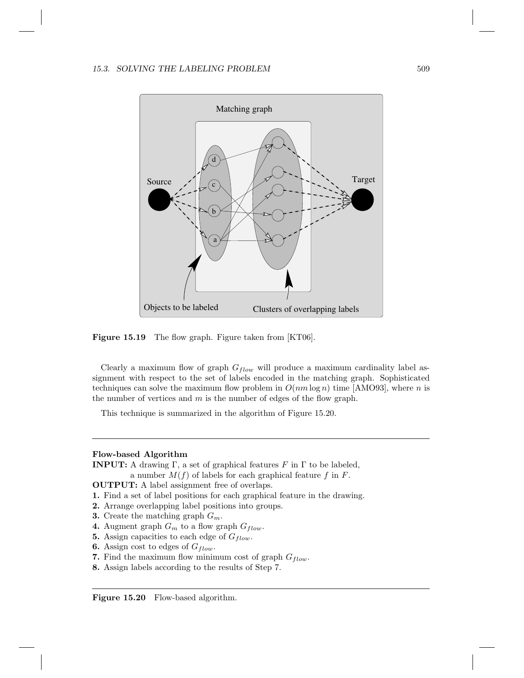

Figure 15.19 The flow graph. Figure taken from [KT06].

Clearly a maximum flow of graph  $G_{flow}$  will produce a maximum cardinality label assignment with respect to the set of labels encoded in the matching graph. Sophisticated techniques can solve the maximum flow problem in  $O(nm \log n)$  time [AMO93], where n is the number of vertices and  $m$  is the number of edges of the flow graph.

This technique is summarized in the algorithm of Figure 15.20.

#### Flow-based Algorithm

**INPUT:** A drawing  $\Gamma$ , a set of graphical features  $F$  in  $\Gamma$  to be labeled, a number  $M(f)$  of labels for each graphical feature f in F.

OUTPUT: A label assignment free of overlaps.

- 1. Find a set of label positions for each graphical feature in the drawing.
- 2. Arrange overlapping label positions into groups.
- **3.** Create the matching graph  $G_m$ .
- **4.** Augment graph  $G_m$  to a flow graph  $G_{flow}$ .
- 5. Assign capacities to each edge of  $G_{flow}$ .
- **6.** Assign cost to edges of  $G_{flow}$ .
- 7. Find the maximum flow minimum cost of graph  $G_{flow}$ .
- 8. Assign labels according to the results of Step 7.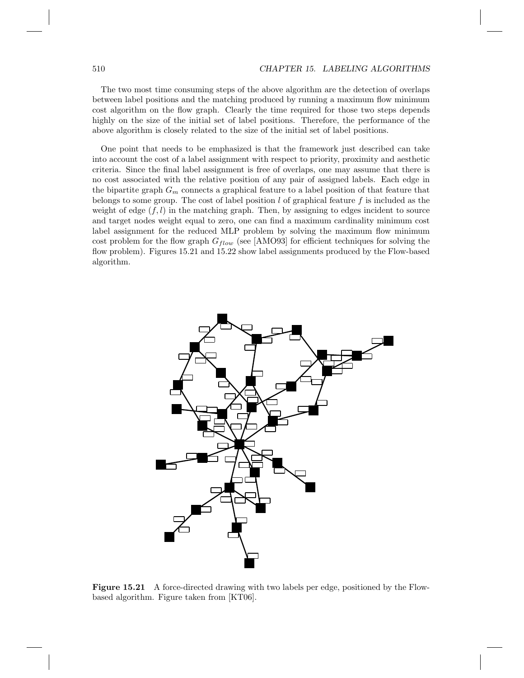The two most time consuming steps of the above algorithm are the detection of overlaps between label positions and the matching produced by running a maximum flow minimum cost algorithm on the flow graph. Clearly the time required for those two steps depends highly on the size of the initial set of label positions. Therefore, the performance of the above algorithm is closely related to the size of the initial set of label positions.

One point that needs to be emphasized is that the framework just described can take into account the cost of a label assignment with respect to priority, proximity and aesthetic criteria. Since the final label assignment is free of overlaps, one may assume that there is no cost associated with the relative position of any pair of assigned labels. Each edge in the bipartite graph  $G_m$  connects a graphical feature to a label position of that feature that belongs to some group. The cost of label position  $l$  of graphical feature  $f$  is included as the weight of edge  $(f, l)$  in the matching graph. Then, by assigning to edges incident to source and target nodes weight equal to zero, one can find a maximum cardinality minimum cost label assignment for the reduced MLP problem by solving the maximum flow minimum cost problem for the flow graph  $G_{flow}$  (see [AMO93] for efficient techniques for solving the flow problem). Figures 15.21 and 15.22 show label assignments produced by the Flow-based algorithm.



Figure 15.21 A force-directed drawing with two labels per edge, positioned by the Flowbased algorithm. Figure taken from [KT06].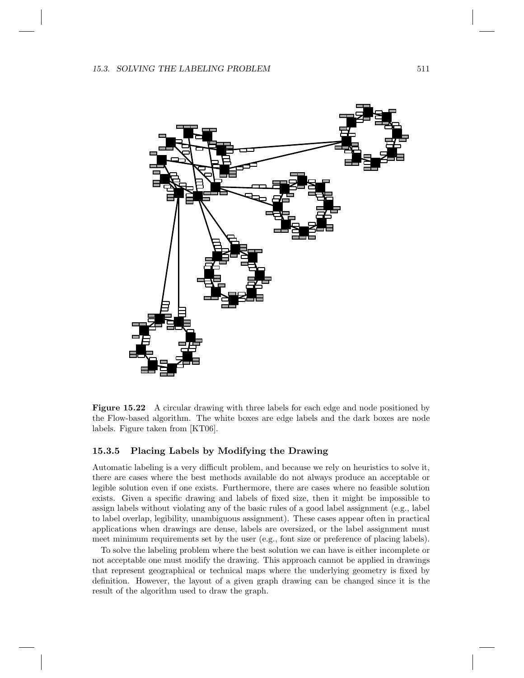

Figure 15.22 A circular drawing with three labels for each edge and node positioned by the Flow-based algorithm. The white boxes are edge labels and the dark boxes are node labels. Figure taken from [KT06].

#### 15.3.5 Placing Labels by Modifying the Drawing

Automatic labeling is a very difficult problem, and because we rely on heuristics to solve it, there are cases where the best methods available do not always produce an acceptable or legible solution even if one exists. Furthermore, there are cases where no feasible solution exists. Given a specific drawing and labels of fixed size, then it might be impossible to assign labels without violating any of the basic rules of a good label assignment (e.g., label to label overlap, legibility, unambiguous assignment). These cases appear often in practical applications when drawings are dense, labels are oversized, or the label assignment must meet minimum requirements set by the user (e.g., font size or preference of placing labels).

To solve the labeling problem where the best solution we can have is either incomplete or not acceptable one must modify the drawing. This approach cannot be applied in drawings that represent geographical or technical maps where the underlying geometry is fixed by definition. However, the layout of a given graph drawing can be changed since it is the result of the algorithm used to draw the graph.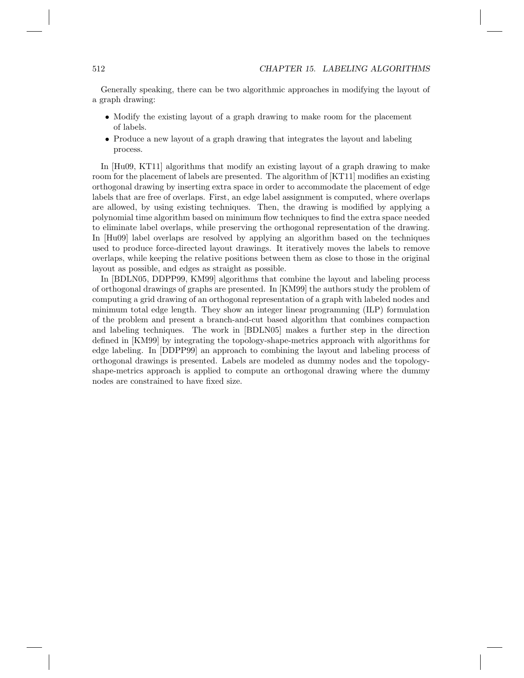Generally speaking, there can be two algorithmic approaches in modifying the layout of a graph drawing:

- Modify the existing layout of a graph drawing to make room for the placement of labels.
- Produce a new layout of a graph drawing that integrates the layout and labeling process.

In [Hu09, KT11] algorithms that modify an existing layout of a graph drawing to make room for the placement of labels are presented. The algorithm of [KT11] modifies an existing orthogonal drawing by inserting extra space in order to accommodate the placement of edge labels that are free of overlaps. First, an edge label assignment is computed, where overlaps are allowed, by using existing techniques. Then, the drawing is modified by applying a polynomial time algorithm based on minimum flow techniques to find the extra space needed to eliminate label overlaps, while preserving the orthogonal representation of the drawing. In [Hu09] label overlaps are resolved by applying an algorithm based on the techniques used to produce force-directed layout drawings. It iteratively moves the labels to remove overlaps, while keeping the relative positions between them as close to those in the original layout as possible, and edges as straight as possible.

In [BDLN05, DDPP99, KM99] algorithms that combine the layout and labeling process of orthogonal drawings of graphs are presented. In [KM99] the authors study the problem of computing a grid drawing of an orthogonal representation of a graph with labeled nodes and minimum total edge length. They show an integer linear programming (ILP) formulation of the problem and present a branch-and-cut based algorithm that combines compaction and labeling techniques. The work in [BDLN05] makes a further step in the direction defined in [KM99] by integrating the topology-shape-metrics approach with algorithms for edge labeling. In [DDPP99] an approach to combining the layout and labeling process of orthogonal drawings is presented. Labels are modeled as dummy nodes and the topologyshape-metrics approach is applied to compute an orthogonal drawing where the dummy nodes are constrained to have fixed size.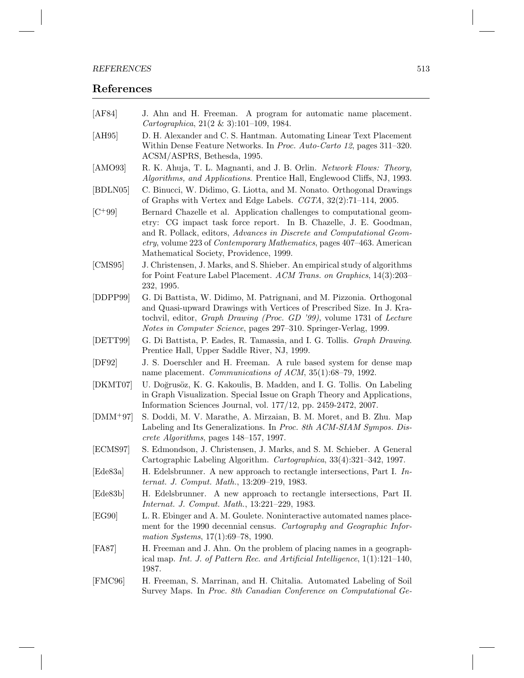#### REFERENCES 513

### References

| $[{\rm AF84}]$ | J. Ahn and H. Freeman. A program for automatic name placement.<br><i>Cartographica</i> , $21(2 \& 3):101-109$ , 1984.                                                                                                                                                                                                                           |
|----------------|-------------------------------------------------------------------------------------------------------------------------------------------------------------------------------------------------------------------------------------------------------------------------------------------------------------------------------------------------|
| [AH95]         | D. H. Alexander and C. S. Hantman. Automating Linear Text Placement<br>Within Dense Feature Networks. In <i>Proc. Auto-Carto 12</i> , pages 311-320.<br>ACSM/ASPRS, Bethesda, 1995.                                                                                                                                                             |
| [AMO93]        | R. K. Ahuja, T. L. Magnanti, and J. B. Orlin. Network Flows: Theory,<br><i>Algorithms, and Applications.</i> Prentice Hall, Englewood Cliffs, NJ, 1993.                                                                                                                                                                                         |
| [BDLN05]       | C. Binucci, W. Didimo, G. Liotta, and M. Nonato. Orthogonal Drawings<br>of Graphs with Vertex and Edge Labels. $CGTA$ , $32(2):71-114$ , 2005.                                                                                                                                                                                                  |
| $[C+99]$       | Bernard Chazelle et al. Application challenges to computational geom-<br>etry: CG impact task force report. In B. Chazelle, J. E. Goodman,<br>and R. Pollack, editors, Advances in Discrete and Computational Geom-<br>etry, volume 223 of <i>Contemporary Mathematics</i> , pages 407–463. American<br>Mathematical Society, Providence, 1999. |
| [CMS95]        | J. Christensen, J. Marks, and S. Shieber. An empirical study of algorithms<br>for Point Feature Label Placement. ACM Trans. on Graphics, 14(3):203–<br>232, 1995.                                                                                                                                                                               |
| [DDPP99]       | G. Di Battista, W. Didimo, M. Patrignani, and M. Pizzonia. Orthogonal<br>and Quasi-upward Drawings with Vertices of Prescribed Size. In J. Kra-<br>tochvil, editor, <i>Graph Drawing (Proc. GD '99)</i> , volume 1731 of <i>Lecture</i><br><i>Notes in Computer Science</i> , pages 297–310. Springer-Verlag, 1999.                             |
| [DETT99]       | G. Di Battista, P. Eades, R. Tamassia, and I. G. Tollis. Graph Drawing.<br>Prentice Hall, Upper Saddle River, NJ, 1999.                                                                                                                                                                                                                         |
| [DF92]         | J. S. Doerschler and H. Freeman. A rule based system for dense map<br>name placement. Communications of ACM, 35(1):68-79, 1992.                                                                                                                                                                                                                 |
| [DKMT07]       | U. Doğrusöz, K. G. Kakoulis, B. Madden, and I. G. Tollis. On Labeling<br>in Graph Visualization. Special Issue on Graph Theory and Applications,<br>Information Sciences Journal, vol. $177/12$ , pp. $2459-2472$ , $2007$ .                                                                                                                    |
| $[DMM+97]$     | S. Doddi, M. V. Marathe, A. Mirzaian, B. M. Moret, and B. Zhu. Map<br>Labeling and Its Generalizations. In Proc. 8th ACM-SIAM Sympos. Dis-<br>$crete$ Algorithms, pages 148–157, 1997.                                                                                                                                                          |
| [ECMS97]       | S. Edmondson, J. Christensen, J. Marks, and S. M. Schieber. A General<br>Cartographic Labeling Algorithm. Cartographica, 33(4):321-342, 1997.                                                                                                                                                                                                   |
| [Ede83a]       | H. Edelsbrunner. A new approach to rectangle intersections, Part I. In-<br>ternat. J. Comput. Math., 13:209-219, 1983.                                                                                                                                                                                                                          |
| [Ede83b]       | H. Edelsbrunner. A new approach to rectangle intersections, Part II.<br>Internat. J. Comput. Math., 13:221-229, 1983.                                                                                                                                                                                                                           |
| [EG90]         | L. R. Ebinger and A. M. Goulete. Noninteractive automated names place-<br>ment for the 1990 decennial census. Cartography and Geographic Infor-<br>mation Systems, $17(1):69-78$ , 1990.                                                                                                                                                        |
| [FA87]         | H. Freeman and J. Ahn. On the problem of placing names in a geograph-<br>ical map. Int. J. of Pattern Rec. and Artificial Intelligence, $1(1):121-140$ ,<br>1987.                                                                                                                                                                               |
| [FMC96]        | H. Freeman, S. Marrinan, and H. Chitalia. Automated Labeling of Soil<br>Survey Maps. In Proc. 8th Canadian Conference on Computational Ge-                                                                                                                                                                                                      |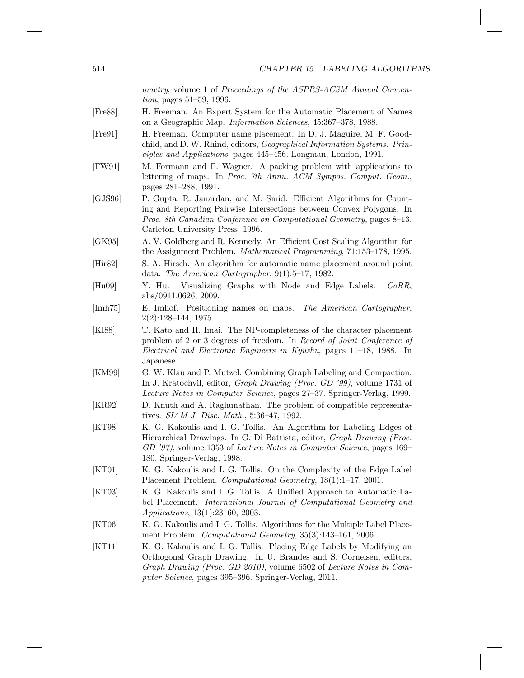*ometry*, volume 1 of *Proceedings of the ASPRS-ACSM Annual Convention*, pages 51–59, 1996.

[Fre88] H. Freeman. An Expert System for the Automatic Placement of Names on a Geographic Map. *Information Sciences*, 45:367–378, 1988.

- [Fre91] H. Freeman. Computer name placement. In D. J. Maguire, M. F. Goodchild, and D. W. Rhind, editors, *Geographical Information Systems: Principles and Applications*, pages 445–456. Longman, London, 1991.
- [FW91] M. Formann and F. Wagner. A packing problem with applications to lettering of maps. In *Proc. 7th Annu. ACM Sympos. Comput. Geom.*, pages 281–288, 1991.
- [GJS96] P. Gupta, R. Janardan, and M. Smid. Efficient Algorithms for Counting and Reporting Pairwise Intersections between Convex Polygons. In *Proc. 8th Canadian Conference on Computational Geometry*, pages 8–13. Carleton University Press, 1996.
- [GK95] A. V. Goldberg and R. Kennedy. An Efficient Cost Scaling Algorithm for the Assignment Problem. *Mathematical Programming*, 71:153–178, 1995.
- [Hir82] S. A. Hirsch. An algorithm for automatic name placement around point data. *The American Cartographer*, 9(1):5–17, 1982.
- [Hu09] Y. Hu. Visualizing Graphs with Node and Edge Labels. *CoRR*, abs/0911.0626, 2009.
- [Imh75] E. Imhof. Positioning names on maps. *The American Cartographer*, 2(2):128–144, 1975.
- [KI88] T. Kato and H. Imai. The NP-completeness of the character placement problem of 2 or 3 degrees of freedom. In *Record of Joint Conference of Electrical and Electronic Engineers in Kyushu*, pages 11–18, 1988. In Japanese.
- [KM99] G. W. Klau and P. Mutzel. Combining Graph Labeling and Compaction. In J. Kratochvil, editor, *Graph Drawing (Proc. GD '99)*, volume 1731 of *Lecture Notes in Computer Science*, pages 27–37. Springer-Verlag, 1999.
- [KR92] D. Knuth and A. Raghunathan. The problem of compatible representatives. *SIAM J. Disc. Math.*, 5:36–47, 1992.
- [KT98] K. G. Kakoulis and I. G. Tollis. An Algorithm for Labeling Edges of Hierarchical Drawings. In G. Di Battista, editor, *Graph Drawing (Proc. GD '97)*, volume 1353 of *Lecture Notes in Computer Science*, pages 169– 180. Springer-Verlag, 1998.
- [KT01] K. G. Kakoulis and I. G. Tollis. On the Complexity of the Edge Label Placement Problem. *Computational Geometry*, 18(1):1–17, 2001.
- [KT03] K. G. Kakoulis and I. G. Tollis. A Unified Approach to Automatic Label Placement. *International Journal of Computational Geometry and Applications*, 13(1):23–60, 2003.
- [KT06] K. G. Kakoulis and I. G. Tollis. Algorithms for the Multiple Label Placement Problem. *Computational Geometry*, 35(3):143–161, 2006.
- [KT11] K. G. Kakoulis and I. G. Tollis. Placing Edge Labels by Modifying an Orthogonal Graph Drawing. In U. Brandes and S. Cornelsen, editors, *Graph Drawing (Proc. GD 2010)*, volume 6502 of *Lecture Notes in Computer Science*, pages 395–396. Springer-Verlag, 2011.